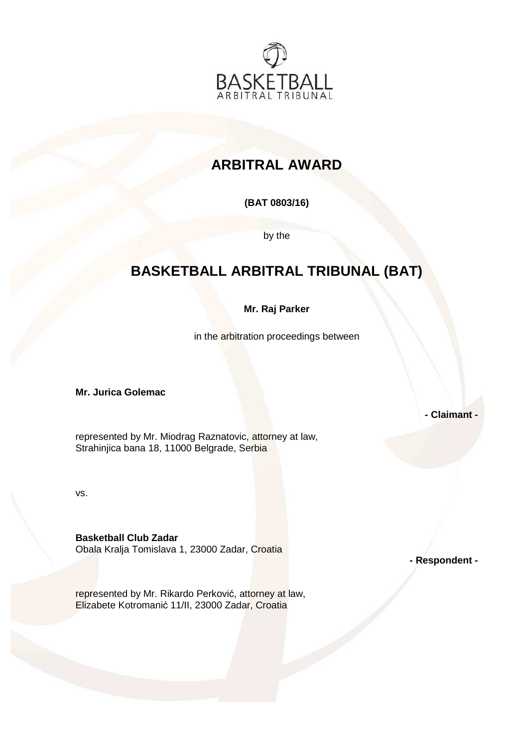

# **ARBITRAL AWARD**

## **(BAT 0803/16)**

by the

# **BASKETBALL ARBITRAL TRIBUNAL (BAT)**

### **Mr. Raj Parker**

in the arbitration proceedings between

**Mr. Jurica Golemac** 

**- Claimant -** 

represented by Mr. Miodrag Raznatovic, attorney at law, Strahinjica bana 18, 11000 Belgrade, Serbia

vs.

**Basketball Club Zadar**  Obala Kralja Tomislava 1, 23000 Zadar, Croatia

**- Respondent -**

represented by Mr. Rikardo Perković, attorney at law, Elizabete Kotromanić 11/II, 23000 Zadar, Croatia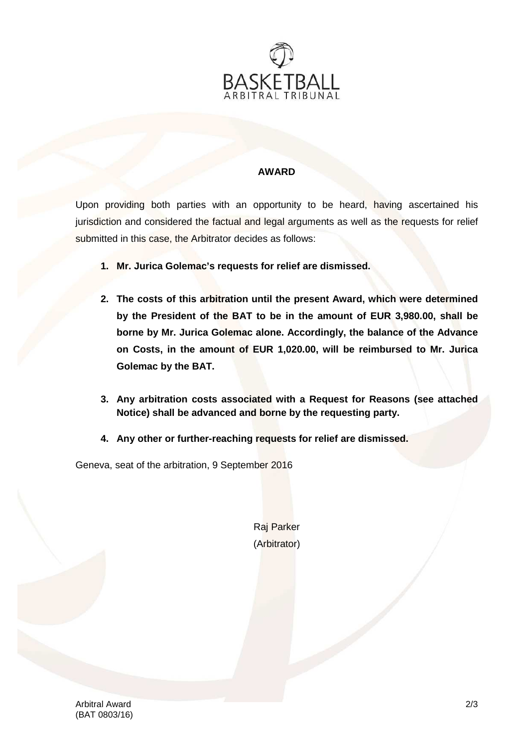

#### **AWARD**

Upon providing both parties with an opportunity to be heard, having ascertained his jurisdiction and considered the factual and legal arguments as well as the requests for relief submitted in this case, the Arbitrator decides as follows:

- **1. Mr. Jurica Golemac's requests for relief are dismissed.**
- **2. The costs of this arbitration until the present Award, which were determined by the President of the BAT to be in the amount of EUR 3,980.00, shall be borne by Mr. Jurica Golemac alone. Accordingly, the balance of the Advance on Costs, in the amount of EUR 1,020.00, will be reimbursed to Mr. Jurica Golemac by the BAT.**
- **3. Any arbitration costs associated with a Request for Reasons (see attached Notice) shall be advanced and borne by the requesting party.**
- **4. Any other or further-reaching requests for relief are dismissed.**

Geneva, seat of the arbitration, 9 September 2016

Raj Parker (Arbitrator)